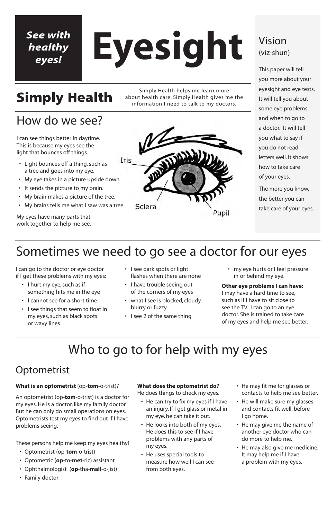# **Eyesight**

# **Simply Health**

# How do we see?

I can see things better in daytime. This is because my eyes see the light that bounces off things.

- Light bounces off a thing, such as a tree and goes into my eye.
- My eye takes in a picture upside down.
- It sends the picture to my brain.
- My brain makes a picture of the tree.
- My brains tells me what I saw was a tree.

My eyes have many parts that work together to help me see.



Simply Health helps me learn more about health care. Simply Health gives me the information I need to talk to my doctors.

### Vision (viz-shun)

This paper will tell you more about your eyesight and eye tests. It will tell you about some eye problems and when to go to a doctor. It will tell you what to say if you do not read letters well. It shows how to take care of your eyes.

The more you know, the better you can take care of your eyes.

*See with healthy eyes!*

# Sometimes we need to go see a doctor for our eyes

# Who to go to for help with my eyes

## **Optometrist**

#### **What is an optometrist** (op**-tom-**o-trist)?

An optometrist (op-**tom**-o-trist) is a doctor for my eyes. He is a doctor, like my family doctor. But he can only do small operations on eyes. Optometrists test my eyes to find out if I have problems seeing.

These persons help me keep my eyes healthy!

- Optometrist (op-**tom**-o-trist)
- Optometric (**op**-to-**met**-ric) assistant
- Ophthalmologist (**op**-tha-**mall**-o-jist)
- Family doctor

**What does the optometrist do?** He does things to check my eyes.

- He can try to fix my eyes if I have an injury. If I get glass or metal in my eye, he can take it out.
- He looks into both of my eyes. He does this to see if I have problems with any parts of my eyes.
- He uses special tools to measure how well I can see from both eyes.
- He may fit me for glasses or contacts to help me see better.
- He will make sure my glasses and contacts fit well, before I go home.
- He may give me the name of another eye doctor who can do more to help me.
- He may also give me medicine. It may help me if I have a problem with my eyes.

I can go to the doctor or eye doctor if I get these problems with my eyes:

- I hurt my eye, such as if something hits me in the eye
- I cannot see for a short time
- I see things that seem to float in my eyes, such as black spots or wavy lines
- I see dark spots or light flashes when there are none
- I have trouble seeing out of the corners of my eyes
- what I see is blocked, cloudy, blurry or fuzzy
- I see 2 of the same thing
- my eye hurts or I feel pressure in or behind my eye.

**Other eye problems I can have:**

I may have a hard time to see, such as if I have to sit close to see the TV. I can go to an eye doctor. She is trained to take care of my eyes and help me see better.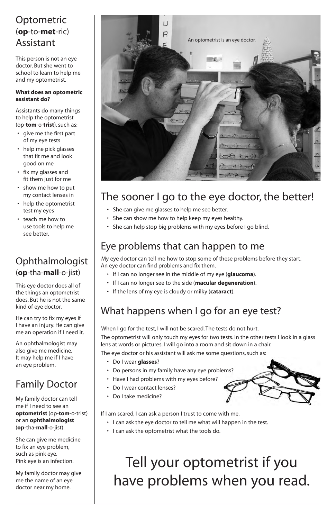### **Optometric** (**op**-to-**met**-ric) Assistant

This person is not an eye doctor. But she went to school to learn to help me and my optometrist.

#### **What does an optometric assistant do?**

Assistants do many things to help the optometrist (op-**tom**-o-**trist**), such as:

- give me the first part of my eye tests
- help me pick glasses that fit me and look good on me
- fix my glasses and fit them just for me
- show me how to put my contact lenses in
- help the optometrist test my eyes
- teach me how to use tools to help me see better.

### Ophthalmologist (**op**-tha-**mall**-o-jist)

This eye doctor does all of the things an optometrist does. But he is not the same kind of eye doctor.

He can try to fix my eyes if I have an injury. He can give me an operation if I need it.

An ophthalmologist may also give me medicine. It may help me if I have an eye problem.

### Family Doctor

My family doctor can tell me if I need to see an **optometrist** (op-**tom**-o-trist) or an **ophthalmologist** (**op**-tha-**mall**-o-jist).

She can give me medicine to fix an eye problem, such as pink eye. Pink eye is an infection.

My family doctor may give me the name of an eye doctor near my home.

- She can give me glasses to help me see better.
- She can show me how to help keep my eyes healthy.
- She can help stop big problems with my eyes before I go blind.

### Eye problems that can happen to me

My eye doctor can tell me how to stop some of these problems before they start. An eye doctor can find problems and fix them.

- If I can no longer see in the middle of my eye (**glaucoma**).
- If I can no longer see to the side (**macular degeneration**).
- If the lens of my eye is cloudy or milky (**cataract**).

## What happens when I go for an eye test?

When I go for the test, I will not be scared. The tests do not hurt.

The optometrist will only touch my eyes for two tests. In the other tests I look in a glass lens at words or pictures. I will go into a room and sit down in a chair.

The eye doctor or his assistant will ask me some questions, such as:

- Do I wear **glasses**?
- Do persons in my family have any eye problems?
- Have I had problems with my eyes before?



- Do I wear contact lenses?
- Do I take medicine?

If I am scared, I can ask a person I trust to come with me.

- I can ask the eye doctor to tell me what will happen in the test.
- I can ask the optometrist what the tools do.



## The sooner I go to the eye doctor, the better!

# Tell your optometrist if you have problems when you read.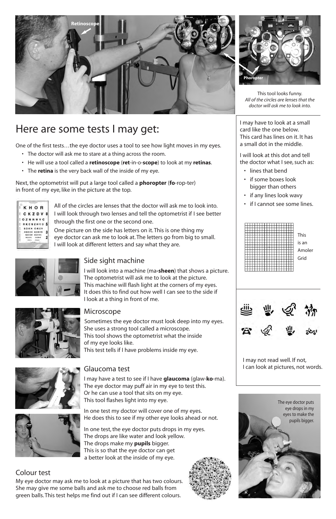

One of the first tests…the eye doctor uses a tool to see how light moves in my eyes.

- The doctor will ask me to stare at a thing across the room.
- He will use a tool called a **retinoscope** (**ret**-in-o-**scope**) to look at my **retinas**.
- The **retina** is the very back wall of the inside of my eye.

Next, the optometrist will put a large tool called a **phoropter** (**fo**-rop-ter) in front of my eye, like in the picture at the top.



All of the circles are lenses that the doctor will ask me to look into. I will look through two lenses and tell the optometrist if I see better through the first one or the second one.

One picture on the side has letters on it. This is one thing my eye doctor can ask me to look at. The letters go from big to small. I will look at different letters and say what they are.



### Side sight machine

I will look into a machine (ma**-sheen**) that shows a picture. The optometrist will ask me to look at the picture. This machine will flash light at the corners of my eyes. It does this to find out how well I can see to the side if I look at a thing in front of me.



#### Microscope

Sometimes the eye doctor must look deep into my eyes. She uses a strong tool called a microscope. This tool shows the optometrist what the inside of my eye looks like. This test tells if I have problems inside my eye.



### Glaucoma test

I may have a test to see if I have **glaucoma** (glaw-**ko**-ma). The eye doctor may puff air in my eye to test this. Or he can use a tool that sits on my eye. This tool flashes light into my eye.

In one test my doctor will cover one of my eyes. He does this to see if my other eye looks ahead or not.

In one test, the eye doctor puts drops in my eyes. The drops are like water and look yellow. The drops make my **pupils** bigger. This is so that the eye doctor can get a better look at the inside of my eye.

### Colour test

My eye doctor may ask me to look at a picture that has two colours. She may give me some balls and ask me to choose red balls from green balls. This test helps me find out if I can see different colours.







This tool looks funny. *All of the circles are lenses that the doctor will ask me to look into.*

I may not read well. If not, I can look at pictures, not words.





I may have to look at a small card like the one below. This card has lines on it. It has a small dot in the middle.

I will look at this dot and tell the doctor what I see, such as:

- lines that bend
- if some boxes look bigger than others
- if any lines look wavy
- if I cannot see some lines.